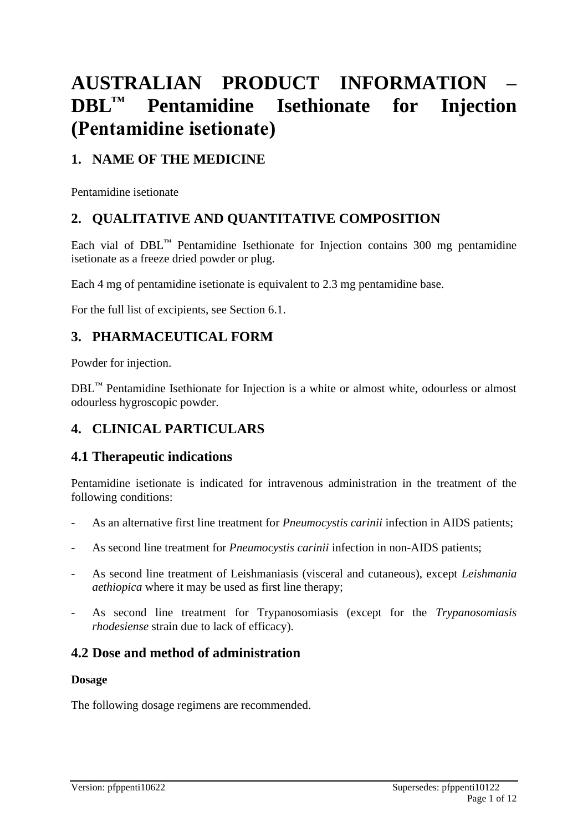# **AUSTRALIAN PRODUCT INFORMATION – DBL™ Pentamidine Isethionate for Injection (Pentamidine isetionate)**

# **1. NAME OF THE MEDICINE**

Pentamidine isetionate

# **2. QUALITATIVE AND QUANTITATIVE COMPOSITION**

Each vial of  $DBL<sup>TM</sup>$  Pentamidine Isethionate for Injection contains 300 mg pentamidine isetionate as a freeze dried powder or plug.

Each 4 mg of pentamidine isetionate is equivalent to 2.3 mg pentamidine base.

For the full list of excipients, see Section 6.1.

# **3. PHARMACEUTICAL FORM**

Powder for injection.

DBL™ Pentamidine Isethionate for Injection is a white or almost white, odourless or almost odourless hygroscopic powder.

# **4. CLINICAL PARTICULARS**

# **4.1 Therapeutic indications**

Pentamidine isetionate is indicated for intravenous administration in the treatment of the following conditions:

- As an alternative first line treatment for *Pneumocystis carinii* infection in AIDS patients;
- As second line treatment for *Pneumocystis carinii* infection in non-AIDS patients;
- As second line treatment of Leishmaniasis (visceral and cutaneous), except *Leishmania aethiopica* where it may be used as first line therapy;
- As second line treatment for Trypanosomiasis (except for the *Trypanosomiasis rhodesiense* strain due to lack of efficacy).

# **4.2 Dose and method of administration**

# **Dosage**

The following dosage regimens are recommended.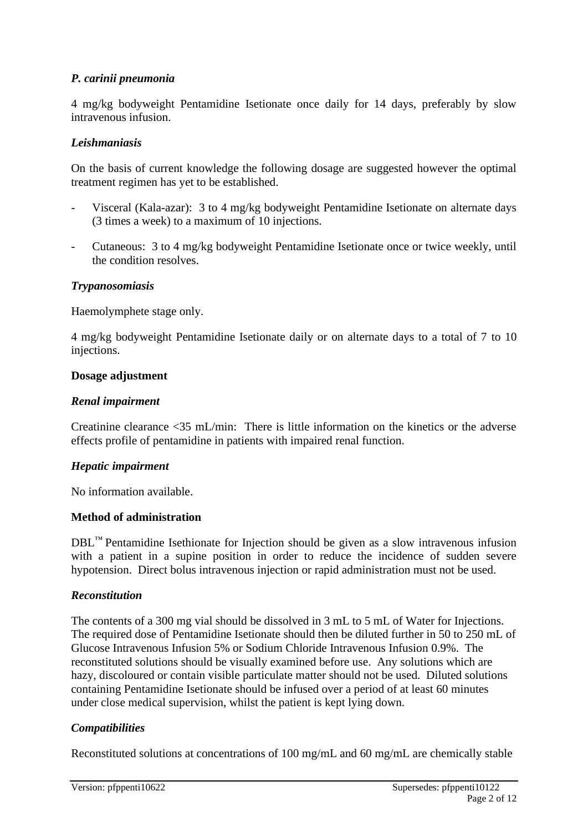### *P. carinii pneumonia*

4 mg/kg bodyweight Pentamidine Isetionate once daily for 14 days, preferably by slow intravenous infusion.

#### *Leishmaniasis*

On the basis of current knowledge the following dosage are suggested however the optimal treatment regimen has yet to be established.

- Visceral (Kala-azar): 3 to 4 mg/kg bodyweight Pentamidine Isetionate on alternate days (3 times a week) to a maximum of 10 injections.
- Cutaneous: 3 to 4 mg/kg bodyweight Pentamidine Isetionate once or twice weekly, until the condition resolves.

#### *Trypanosomiasis*

Haemolymphete stage only.

4 mg/kg bodyweight Pentamidine Isetionate daily or on alternate days to a total of 7 to 10 injections.

#### **Dosage adjustment**

#### *Renal impairment*

Creatinine clearance <35 mL/min: There is little information on the kinetics or the adverse effects profile of pentamidine in patients with impaired renal function.

#### *Hepatic impairment*

No information available.

### **Method of administration**

 $DBL<sup>TM</sup>$  Pentamidine Isethionate for Injection should be given as a slow intravenous infusion with a patient in a supine position in order to reduce the incidence of sudden severe hypotension. Direct bolus intravenous injection or rapid administration must not be used.

#### *Reconstitution*

The contents of a 300 mg vial should be dissolved in 3 mL to 5 mL of Water for Injections. The required dose of Pentamidine Isetionate should then be diluted further in 50 to 250 mL of Glucose Intravenous Infusion 5% or Sodium Chloride Intravenous Infusion 0.9%. The reconstituted solutions should be visually examined before use. Any solutions which are hazy, discoloured or contain visible particulate matter should not be used. Diluted solutions containing Pentamidine Isetionate should be infused over a period of at least 60 minutes under close medical supervision, whilst the patient is kept lying down.

#### *Compatibilities*

Reconstituted solutions at concentrations of 100 mg/mL and 60 mg/mL are chemically stable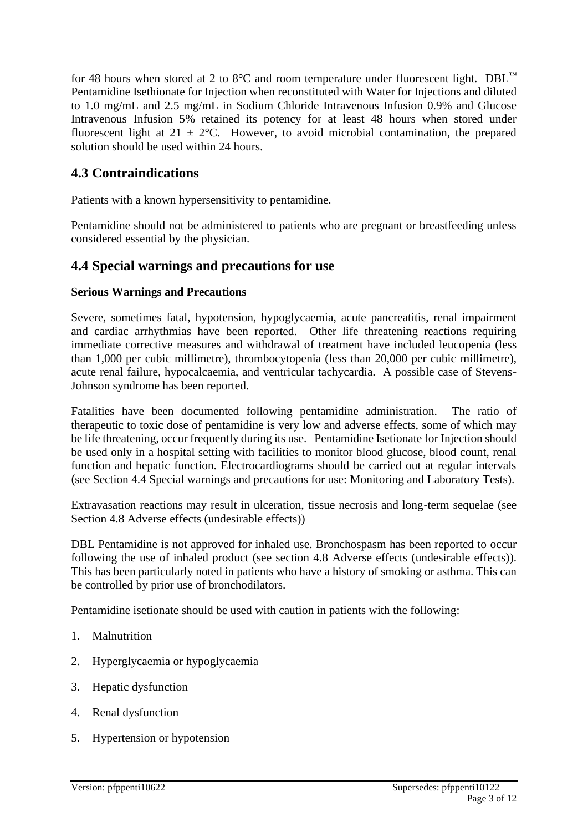for 48 hours when stored at 2 to 8°C and room temperature under fluorescent light. DBL<sup>™</sup> Pentamidine Isethionate for Injection when reconstituted with Water for Injections and diluted to 1.0 mg/mL and 2.5 mg/mL in Sodium Chloride Intravenous Infusion 0.9% and Glucose Intravenous Infusion 5% retained its potency for at least 48 hours when stored under fluorescent light at  $21 \pm 2$ °C. However, to avoid microbial contamination, the prepared solution should be used within 24 hours.

# **4.3 Contraindications**

Patients with a known hypersensitivity to pentamidine.

Pentamidine should not be administered to patients who are pregnant or breastfeeding unless considered essential by the physician.

# **4.4 Special warnings and precautions for use**

# **Serious Warnings and Precautions**

Severe, sometimes fatal, hypotension, hypoglycaemia, acute pancreatitis, renal impairment and cardiac arrhythmias have been reported. Other life threatening reactions requiring immediate corrective measures and withdrawal of treatment have included leucopenia (less than 1,000 per cubic millimetre), thrombocytopenia (less than 20,000 per cubic millimetre), acute renal failure, hypocalcaemia, and ventricular tachycardia. A possible case of Stevens-Johnson syndrome has been reported.

Fatalities have been documented following pentamidine administration. The ratio of therapeutic to toxic dose of pentamidine is very low and adverse effects, some of which may be life threatening, occur frequently during its use. Pentamidine Isetionate for Injection should be used only in a hospital setting with facilities to monitor blood glucose, blood count, renal function and hepatic function. Electrocardiograms should be carried out at regular intervals (see Section 4.4 Special warnings and precautions for use: Monitoring and Laboratory Tests).

Extravasation reactions may result in ulceration, tissue necrosis and long-term sequelae (see Section 4.8 Adverse effects (undesirable effects))

DBL Pentamidine is not approved for inhaled use. Bronchospasm has been reported to occur following the use of inhaled product (see section 4.8 Adverse effects (undesirable effects)). This has been particularly noted in patients who have a history of smoking or asthma. This can be controlled by prior use of bronchodilators.

Pentamidine isetionate should be used with caution in patients with the following:

- 1. Malnutrition
- 2. Hyperglycaemia or hypoglycaemia
- 3. Hepatic dysfunction
- 4. Renal dysfunction
- 5. Hypertension or hypotension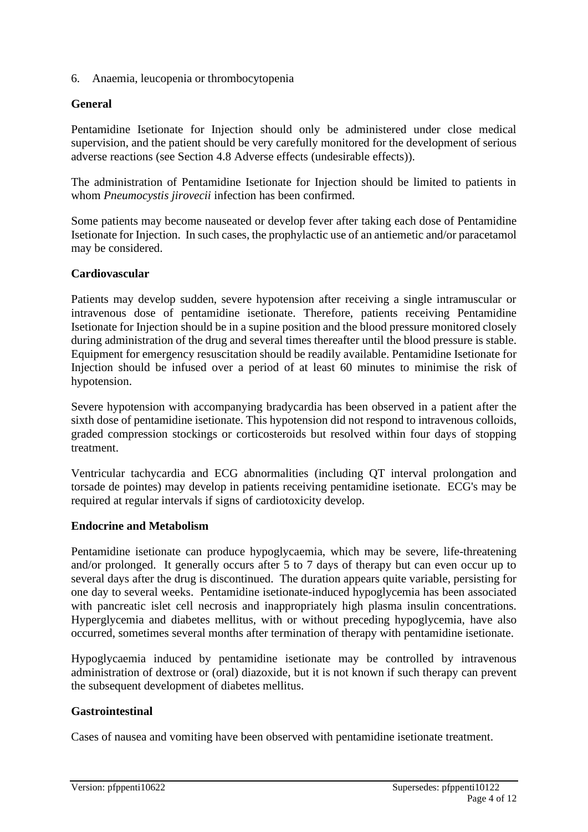6. Anaemia, leucopenia or thrombocytopenia

### **General**

Pentamidine Isetionate for Injection should only be administered under close medical supervision, and the patient should be very carefully monitored for the development of serious adverse reactions (see Section 4.8 Adverse effects (undesirable effects)).

The administration of Pentamidine Isetionate for Injection should be limited to patients in whom *Pneumocystis jirovecii* infection has been confirmed.

Some patients may become nauseated or develop fever after taking each dose of Pentamidine Isetionate for Injection. In such cases, the prophylactic use of an antiemetic and/or paracetamol may be considered.

#### **Cardiovascular**

Patients may develop sudden, severe hypotension after receiving a single intramuscular or intravenous dose of pentamidine isetionate. Therefore, patients receiving Pentamidine Isetionate for Injection should be in a supine position and the blood pressure monitored closely during administration of the drug and several times thereafter until the blood pressure is stable. Equipment for emergency resuscitation should be readily available. Pentamidine Isetionate for Injection should be infused over a period of at least 60 minutes to minimise the risk of hypotension.

Severe hypotension with accompanying bradycardia has been observed in a patient after the sixth dose of pentamidine isetionate. This hypotension did not respond to intravenous colloids, graded compression stockings or corticosteroids but resolved within four days of stopping treatment.

Ventricular tachycardia and ECG abnormalities (including QT interval prolongation and torsade de pointes) may develop in patients receiving pentamidine isetionate. ECG's may be required at regular intervals if signs of cardiotoxicity develop.

#### **Endocrine and Metabolism**

Pentamidine isetionate can produce hypoglycaemia, which may be severe, life-threatening and/or prolonged. It generally occurs after 5 to 7 days of therapy but can even occur up to several days after the drug is discontinued. The duration appears quite variable, persisting for one day to several weeks. Pentamidine isetionate-induced hypoglycemia has been associated with pancreatic islet cell necrosis and inappropriately high plasma insulin concentrations. Hyperglycemia and diabetes mellitus, with or without preceding hypoglycemia, have also occurred, sometimes several months after termination of therapy with pentamidine isetionate.

Hypoglycaemia induced by pentamidine isetionate may be controlled by intravenous administration of dextrose or (oral) diazoxide, but it is not known if such therapy can prevent the subsequent development of diabetes mellitus.

#### **Gastrointestinal**

Cases of nausea and vomiting have been observed with pentamidine isetionate treatment.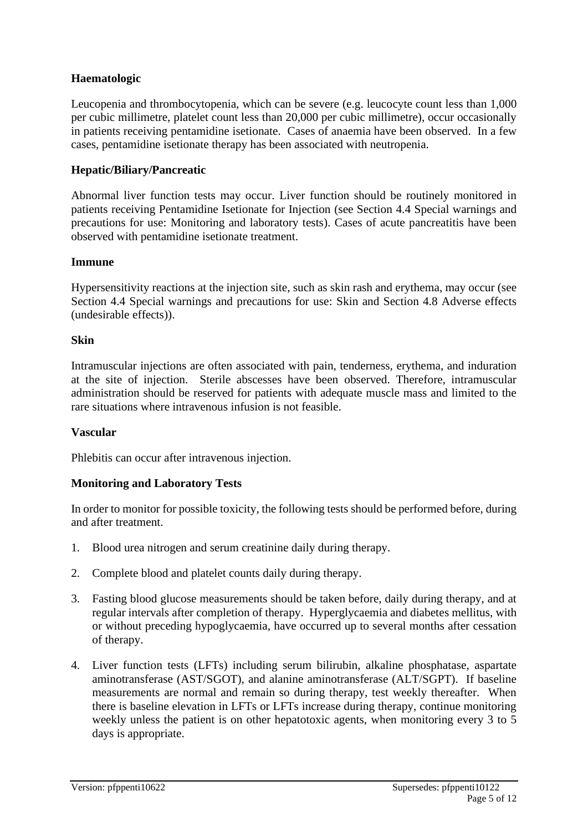### **Haematologic**

Leucopenia and thrombocytopenia, which can be severe (e.g. leucocyte count less than 1,000 per cubic millimetre, platelet count less than 20,000 per cubic millimetre), occur occasionally in patients receiving pentamidine isetionate. Cases of anaemia have been observed. In a few cases, pentamidine isetionate therapy has been associated with neutropenia.

#### **Hepatic/Biliary/Pancreatic**

Abnormal liver function tests may occur. Liver function should be routinely monitored in patients receiving Pentamidine Isetionate for Injection (see Section 4.4 Special warnings and precautions for use: Monitoring and laboratory tests). Cases of acute pancreatitis have been observed with pentamidine isetionate treatment.

#### **Immune**

Hypersensitivity reactions at the injection site, such as skin rash and erythema, may occur (see Section 4.4 Special warnings and precautions for use: Skin and Section 4.8 Adverse effects (undesirable effects)).

#### **Skin**

Intramuscular injections are often associated with pain, tenderness, erythema, and induration at the site of injection. Sterile abscesses have been observed. Therefore, intramuscular administration should be reserved for patients with adequate muscle mass and limited to the rare situations where intravenous infusion is not feasible.

#### **Vascular**

Phlebitis can occur after intravenous injection.

#### **Monitoring and Laboratory Tests**

In order to monitor for possible toxicity, the following tests should be performed before, during and after treatment.

- 1. Blood urea nitrogen and serum creatinine daily during therapy.
- 2. Complete blood and platelet counts daily during therapy.
- 3. Fasting blood glucose measurements should be taken before, daily during therapy, and at regular intervals after completion of therapy. Hyperglycaemia and diabetes mellitus, with or without preceding hypoglycaemia, have occurred up to several months after cessation of therapy.
- 4. Liver function tests (LFTs) including serum bilirubin, alkaline phosphatase, aspartate aminotransferase (AST/SGOT), and alanine aminotransferase (ALT/SGPT). If baseline measurements are normal and remain so during therapy, test weekly thereafter. When there is baseline elevation in LFTs or LFTs increase during therapy, continue monitoring weekly unless the patient is on other hepatotoxic agents, when monitoring every 3 to 5 days is appropriate.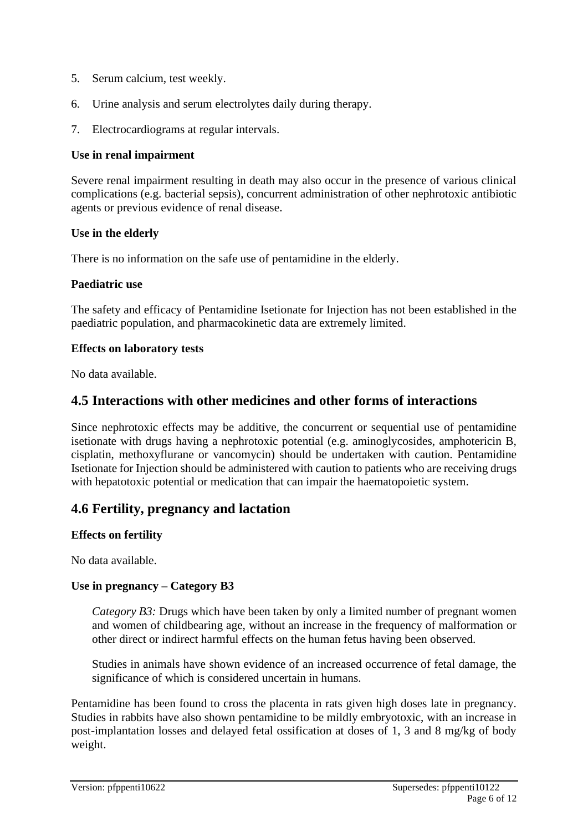- 5. Serum calcium, test weekly.
- 6. Urine analysis and serum electrolytes daily during therapy.
- 7. Electrocardiograms at regular intervals.

#### **Use in renal impairment**

Severe renal impairment resulting in death may also occur in the presence of various clinical complications (e.g. bacterial sepsis), concurrent administration of other nephrotoxic antibiotic agents or previous evidence of renal disease.

#### **Use in the elderly**

There is no information on the safe use of pentamidine in the elderly.

#### **Paediatric use**

The safety and efficacy of Pentamidine Isetionate for Injection has not been established in the paediatric population, and pharmacokinetic data are extremely limited.

#### **Effects on laboratory tests**

No data available.

# **4.5 Interactions with other medicines and other forms of interactions**

Since nephrotoxic effects may be additive, the concurrent or sequential use of pentamidine isetionate with drugs having a nephrotoxic potential (e.g. aminoglycosides, amphotericin B, cisplatin, methoxyflurane or vancomycin) should be undertaken with caution. Pentamidine Isetionate for Injection should be administered with caution to patients who are receiving drugs with hepatotoxic potential or medication that can impair the haematopoietic system.

# **4.6 Fertility, pregnancy and lactation**

#### **Effects on fertility**

No data available.

#### **Use in pregnancy – Category B3**

*Category B3:* Drugs which have been taken by only a limited number of pregnant women and women of childbearing age, without an increase in the frequency of malformation or other direct or indirect harmful effects on the human fetus having been observed.

Studies in animals have shown evidence of an increased occurrence of fetal damage, the significance of which is considered uncertain in humans.

Pentamidine has been found to cross the placenta in rats given high doses late in pregnancy. Studies in rabbits have also shown pentamidine to be mildly embryotoxic, with an increase in post-implantation losses and delayed fetal ossification at doses of 1, 3 and 8 mg/kg of body weight.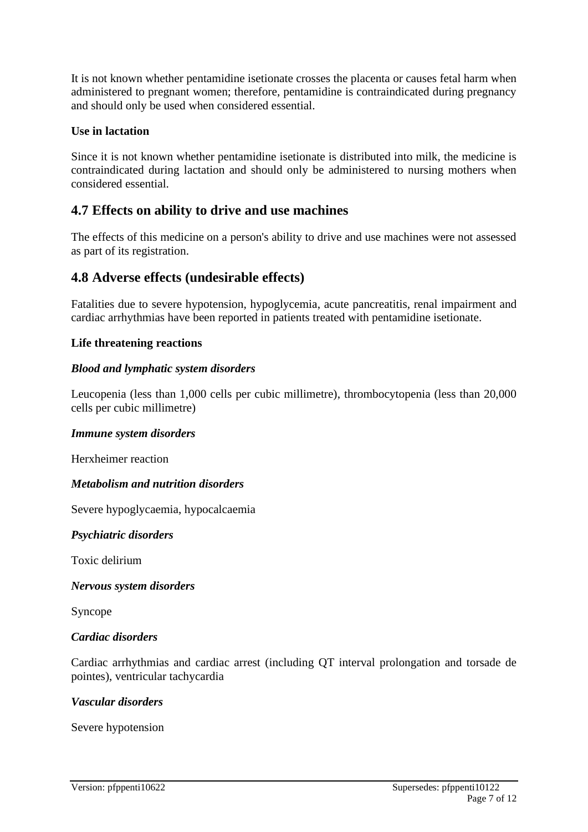It is not known whether pentamidine isetionate crosses the placenta or causes fetal harm when administered to pregnant women; therefore, pentamidine is contraindicated during pregnancy and should only be used when considered essential.

#### **Use in lactation**

Since it is not known whether pentamidine isetionate is distributed into milk, the medicine is contraindicated during lactation and should only be administered to nursing mothers when considered essential.

# **4.7 Effects on ability to drive and use machines**

The effects of this medicine on a person's ability to drive and use machines were not assessed as part of its registration.

# **4.8 Adverse effects (undesirable effects)**

Fatalities due to severe hypotension, hypoglycemia, acute pancreatitis, renal impairment and cardiac arrhythmias have been reported in patients treated with pentamidine isetionate.

#### **Life threatening reactions**

### *Blood and lymphatic system disorders*

Leucopenia (less than 1,000 cells per cubic millimetre), thrombocytopenia (less than 20,000 cells per cubic millimetre)

#### *Immune system disorders*

Herxheimer reaction

#### *Metabolism and nutrition disorders*

Severe hypoglycaemia, hypocalcaemia

#### *Psychiatric disorders*

Toxic delirium

*Nervous system disorders*

Syncope

#### *Cardiac disorders*

Cardiac arrhythmias and cardiac arrest (including QT interval prolongation and torsade de pointes), ventricular tachycardia

#### *Vascular disorders*

Severe hypotension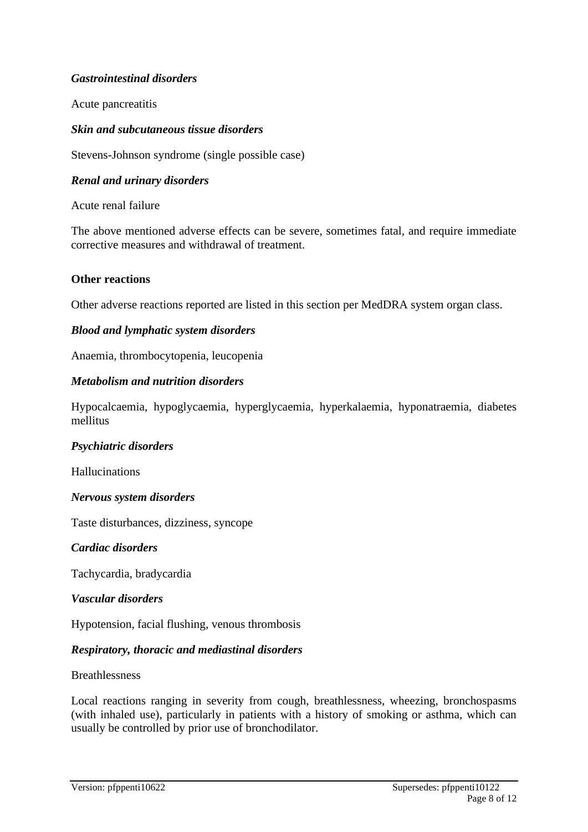### *Gastrointestinal disorders*

Acute pancreatitis

#### *Skin and subcutaneous tissue disorders*

Stevens-Johnson syndrome (single possible case)

#### *Renal and urinary disorders*

Acute renal failure

The above mentioned adverse effects can be severe, sometimes fatal, and require immediate corrective measures and withdrawal of treatment.

#### **Other reactions**

Other adverse reactions reported are listed in this section per MedDRA system organ class.

#### *Blood and lymphatic system disorders*

Anaemia, thrombocytopenia, leucopenia

#### *Metabolism and nutrition disorders*

Hypocalcaemia, hypoglycaemia, hyperglycaemia, hyperkalaemia, hyponatraemia, diabetes mellitus

#### *Psychiatric disorders*

Hallucinations

#### *Nervous system disorders*

Taste disturbances, dizziness, syncope

#### *Cardiac disorders*

Tachycardia, bradycardia

#### *Vascular disorders*

Hypotension, facial flushing, venous thrombosis

#### *Respiratory, thoracic and mediastinal disorders*

#### Breathlessness

Local reactions ranging in severity from cough, breathlessness, wheezing, bronchospasms (with inhaled use), particularly in patients with a history of smoking or asthma, which can usually be controlled by prior use of bronchodilator.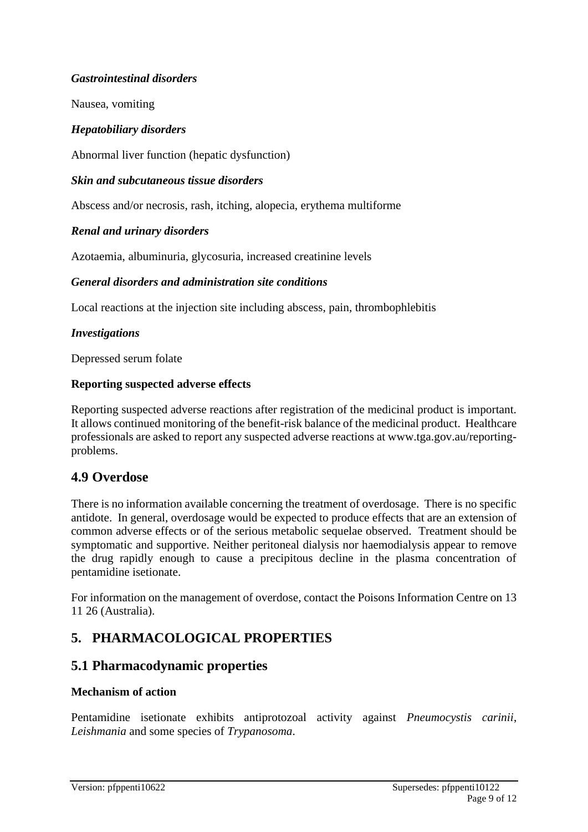### *Gastrointestinal disorders*

Nausea, vomiting

#### *Hepatobiliary disorders*

Abnormal liver function (hepatic dysfunction)

#### *Skin and subcutaneous tissue disorders*

Abscess and/or necrosis, rash, itching, alopecia, erythema multiforme

#### *Renal and urinary disorders*

Azotaemia, albuminuria, glycosuria, increased creatinine levels

#### *General disorders and administration site conditions*

Local reactions at the injection site including abscess, pain, thrombophlebitis

#### *Investigations*

Depressed serum folate

#### **Reporting suspected adverse effects**

Reporting suspected adverse reactions after registration of the medicinal product is important. It allows continued monitoring of the benefit-risk balance of the medicinal product. Healthcare professionals are asked to report any suspected adverse reactions at [www.tga.gov.au/reporting](http://www.tga.gov.au/reporting-problems)[problems.](http://www.tga.gov.au/reporting-problems)

# **4.9 Overdose**

There is no information available concerning the treatment of overdosage. There is no specific antidote. In general, overdosage would be expected to produce effects that are an extension of common adverse effects or of the serious metabolic sequelae observed. Treatment should be symptomatic and supportive. Neither peritoneal dialysis nor haemodialysis appear to remove the drug rapidly enough to cause a precipitous decline in the plasma concentration of pentamidine isetionate.

For information on the management of overdose, contact the Poisons Information Centre on 13 11 26 (Australia).

# **5. PHARMACOLOGICAL PROPERTIES**

# **5.1 Pharmacodynamic properties**

#### **Mechanism of action**

Pentamidine isetionate exhibits antiprotozoal activity against *Pneumocystis carinii*, *Leishmania* and some species of *Trypanosoma*.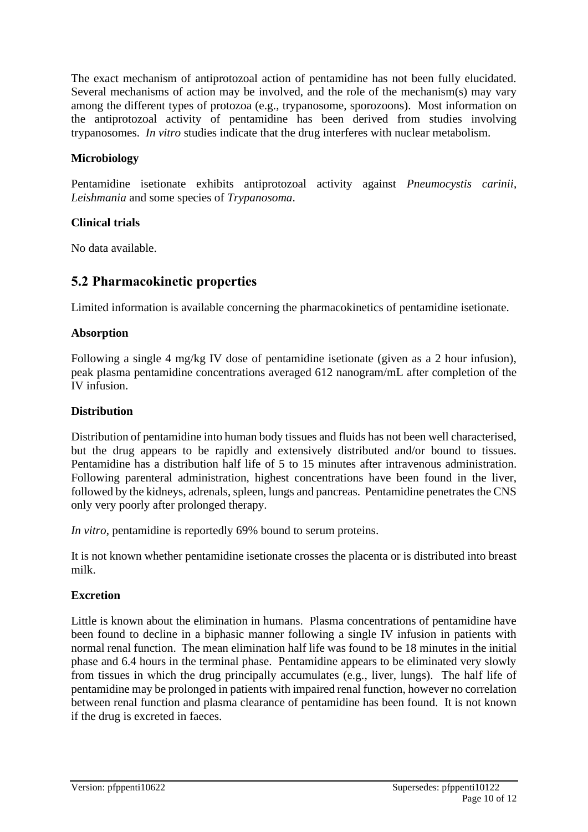The exact mechanism of antiprotozoal action of pentamidine has not been fully elucidated. Several mechanisms of action may be involved, and the role of the mechanism(s) may vary among the different types of protozoa (e.g., trypanosome, sporozoons). Most information on the antiprotozoal activity of pentamidine has been derived from studies involving trypanosomes. *In vitro* studies indicate that the drug interferes with nuclear metabolism.

### **Microbiology**

Pentamidine isetionate exhibits antiprotozoal activity against *Pneumocystis carinii*, *Leishmania* and some species of *Trypanosoma*.

### **Clinical trials**

No data available.

# **5.2 Pharmacokinetic properties**

Limited information is available concerning the pharmacokinetics of pentamidine isetionate.

### **Absorption**

Following a single 4 mg/kg IV dose of pentamidine isetionate (given as a 2 hour infusion), peak plasma pentamidine concentrations averaged 612 nanogram/mL after completion of the IV infusion.

### **Distribution**

Distribution of pentamidine into human body tissues and fluids has not been well characterised, but the drug appears to be rapidly and extensively distributed and/or bound to tissues. Pentamidine has a distribution half life of 5 to 15 minutes after intravenous administration. Following parenteral administration, highest concentrations have been found in the liver, followed by the kidneys, adrenals, spleen, lungs and pancreas. Pentamidine penetrates the CNS only very poorly after prolonged therapy.

*In vitro*, pentamidine is reportedly 69% bound to serum proteins.

It is not known whether pentamidine isetionate crosses the placenta or is distributed into breast milk.

#### **Excretion**

Little is known about the elimination in humans. Plasma concentrations of pentamidine have been found to decline in a biphasic manner following a single IV infusion in patients with normal renal function. The mean elimination half life was found to be 18 minutes in the initial phase and 6.4 hours in the terminal phase. Pentamidine appears to be eliminated very slowly from tissues in which the drug principally accumulates (e.g., liver, lungs). The half life of pentamidine may be prolonged in patients with impaired renal function, however no correlation between renal function and plasma clearance of pentamidine has been found. It is not known if the drug is excreted in faeces.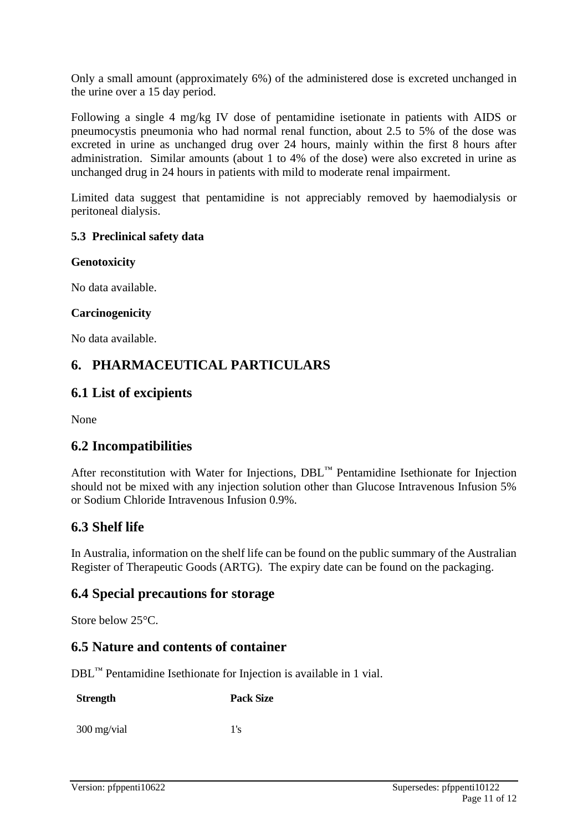Only a small amount (approximately 6%) of the administered dose is excreted unchanged in the urine over a 15 day period.

Following a single 4 mg/kg IV dose of pentamidine isetionate in patients with AIDS or pneumocystis pneumonia who had normal renal function, about 2.5 to 5% of the dose was excreted in urine as unchanged drug over 24 hours, mainly within the first 8 hours after administration. Similar amounts (about 1 to 4% of the dose) were also excreted in urine as unchanged drug in 24 hours in patients with mild to moderate renal impairment.

Limited data suggest that pentamidine is not appreciably removed by haemodialysis or peritoneal dialysis.

#### **5.3 Preclinical safety data**

#### **Genotoxicity**

No data available.

#### **Carcinogenicity**

No data available.

# **6. PHARMACEUTICAL PARTICULARS**

# **6.1 List of excipients**

None

# **6.2 Incompatibilities**

After reconstitution with Water for Injections, DBL™ Pentamidine Isethionate for Injection should not be mixed with any injection solution other than Glucose Intravenous Infusion 5% or Sodium Chloride Intravenous Infusion 0.9%.

# **6.3 Shelf life**

In Australia, information on the shelf life can be found on the public summary of the Australian Register of Therapeutic Goods (ARTG). The expiry date can be found on the packaging.

# **6.4 Special precautions for storage**

Store below 25°C.

# **6.5 Nature and contents of container**

DBL™ Pentamidine Isethionate for Injection is available in 1 vial.

**Strength Pack Size**

 $300 \text{ mg/vial}$  1's